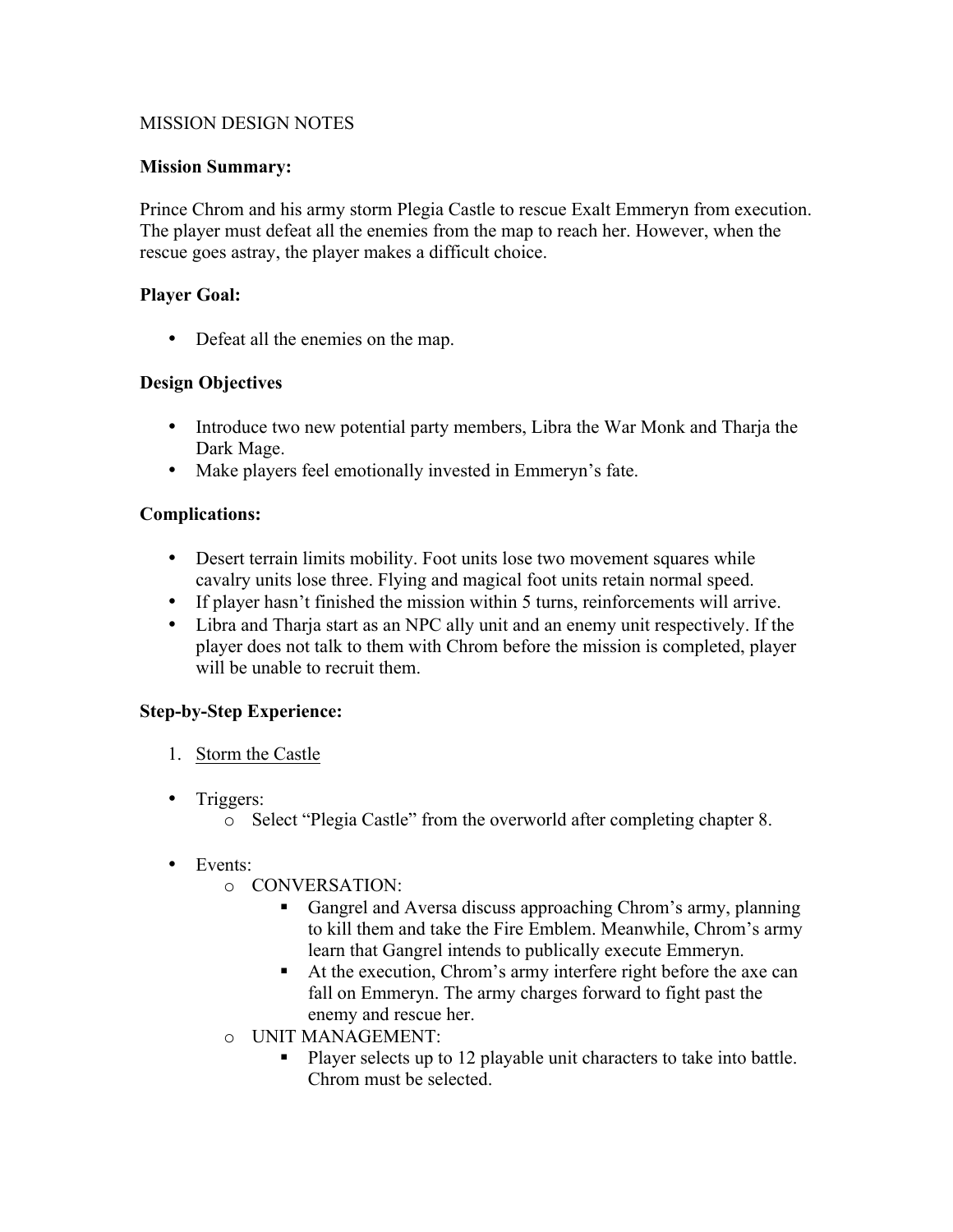### MISSION DESIGN NOTES

### **Mission Summary:**

Prince Chrom and his army storm Plegia Castle to rescue Exalt Emmeryn from execution. The player must defeat all the enemies from the map to reach her. However, when the rescue goes astray, the player makes a difficult choice.

#### **Player Goal:**

• Defeat all the enemies on the map.

#### **Design Objectives**

- Introduce two new potential party members, Libra the War Monk and Tharja the Dark Mage.
- Make players feel emotionally invested in Emmeryn's fate.

#### **Complications:**

- Desert terrain limits mobility. Foot units lose two movement squares while cavalry units lose three. Flying and magical foot units retain normal speed.
- If player hasn't finished the mission within 5 turns, reinforcements will arrive.
- Libra and Tharja start as an NPC ally unit and an enemy unit respectively. If the player does not talk to them with Chrom before the mission is completed, player will be unable to recruit them.

### **Step-by-Step Experience:**

- 1. Storm the Castle
- Triggers:
	- o Select "Plegia Castle" from the overworld after completing chapter 8.
- Events<sup>•</sup>
	- o CONVERSATION:
		- Gangrel and Aversa discuss approaching Chrom's army, planning to kill them and take the Fire Emblem. Meanwhile, Chrom's army learn that Gangrel intends to publically execute Emmeryn.
		- At the execution, Chrom's army interfere right before the axe can fall on Emmeryn. The army charges forward to fight past the enemy and rescue her.
	- o UNIT MANAGEMENT:
		- Player selects up to 12 playable unit characters to take into battle. Chrom must be selected.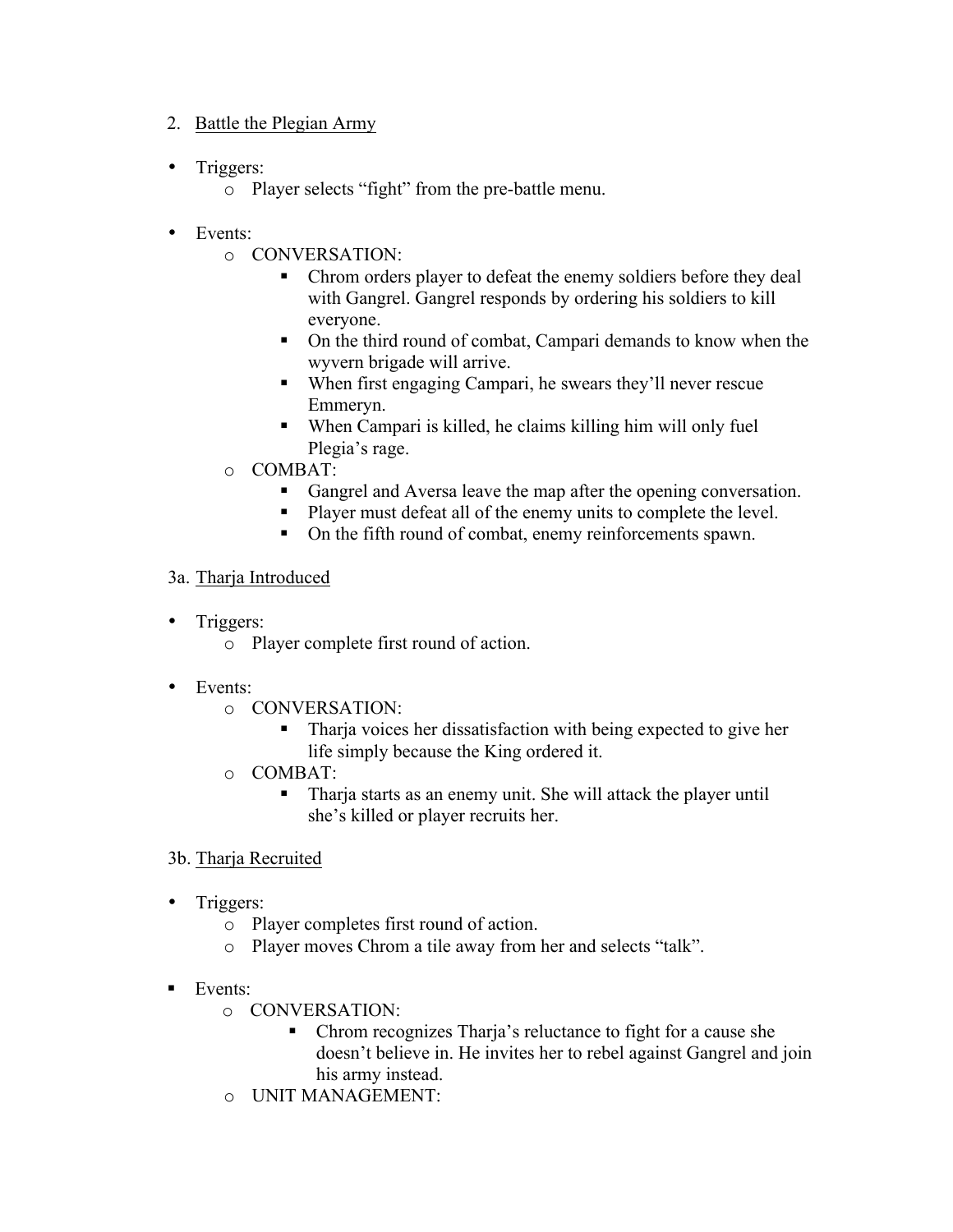### 2. Battle the Plegian Army

- Triggers:
	- o Player selects "fight" from the pre-battle menu.
- Events:
	- o CONVERSATION:
		- Chrom orders player to defeat the enemy soldiers before they deal with Gangrel. Gangrel responds by ordering his soldiers to kill everyone.
		- On the third round of combat, Campari demands to know when the wyvern brigade will arrive.
		- When first engaging Campari, he swears they'll never rescue Emmeryn.
		- When Campari is killed, he claims killing him will only fuel Plegia's rage.
	- o COMBAT:
		- Gangrel and Aversa leave the map after the opening conversation.
		- Player must defeat all of the enemy units to complete the level.
		- On the fifth round of combat, enemy reinforcements spawn.

### 3a. Tharja Introduced

- Triggers:
	- o Player complete first round of action.
- Events:
	- o CONVERSATION:
		- § Tharja voices her dissatisfaction with being expected to give her life simply because the King ordered it.
	- o COMBAT:
		- Tharja starts as an enemy unit. She will attack the player until she's killed or player recruits her.

# 3b. Tharja Recruited

- Triggers:
	- o Player completes first round of action.
	- o Player moves Chrom a tile away from her and selects "talk".
- Events:
	- o CONVERSATION:
		- § Chrom recognizes Tharja's reluctance to fight for a cause she doesn't believe in. He invites her to rebel against Gangrel and join his army instead.
	- o UNIT MANAGEMENT: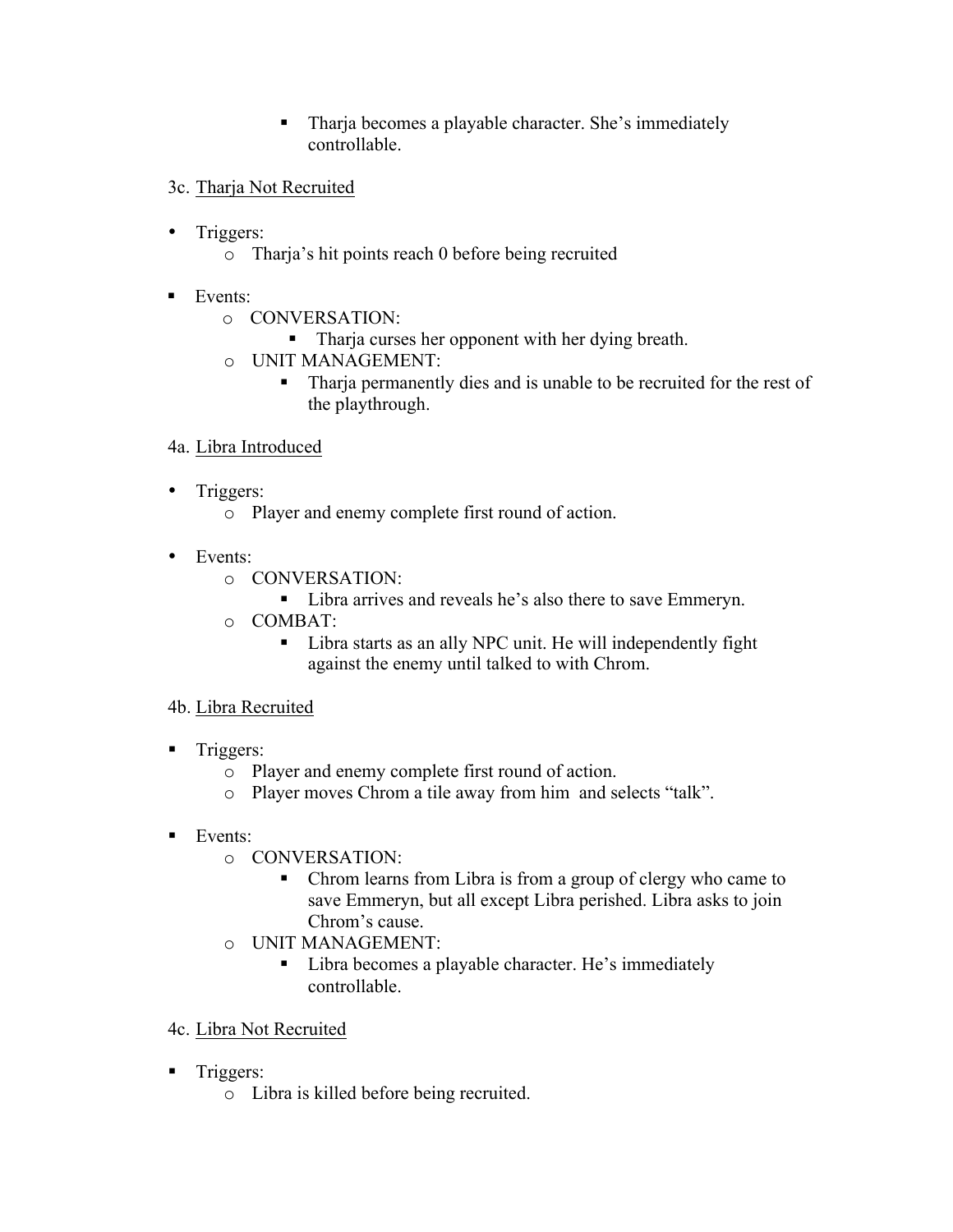- Tharja becomes a playable character. She's immediately controllable.
- 3c. Tharja Not Recruited
- Triggers:
	- o Tharja's hit points reach 0 before being recruited
- Events:
	- o CONVERSATION:
		- Tharja curses her opponent with her dying breath.
	- o UNIT MANAGEMENT:
		- Tharja permanently dies and is unable to be recruited for the rest of the playthrough.

### 4a. Libra Introduced

- Triggers:
	- o Player and enemy complete first round of action.
- Events:
	- o CONVERSATION:
		- Libra arrives and reveals he's also there to save Emmeryn.
	- o COMBAT:
		- Libra starts as an ally NPC unit. He will independently fight against the enemy until talked to with Chrom.

### 4b. Libra Recruited

- Triggers:
	- o Player and enemy complete first round of action.
	- o Player moves Chrom a tile away from him and selects "talk".
- Events:
	- o CONVERSATION:
		- Chrom learns from Libra is from a group of clergy who came to save Emmeryn, but all except Libra perished. Libra asks to join Chrom's cause.
	- o UNIT MANAGEMENT:
		- Libra becomes a playable character. He's immediately controllable.
- 4c. Libra Not Recruited
- Triggers:
	- o Libra is killed before being recruited.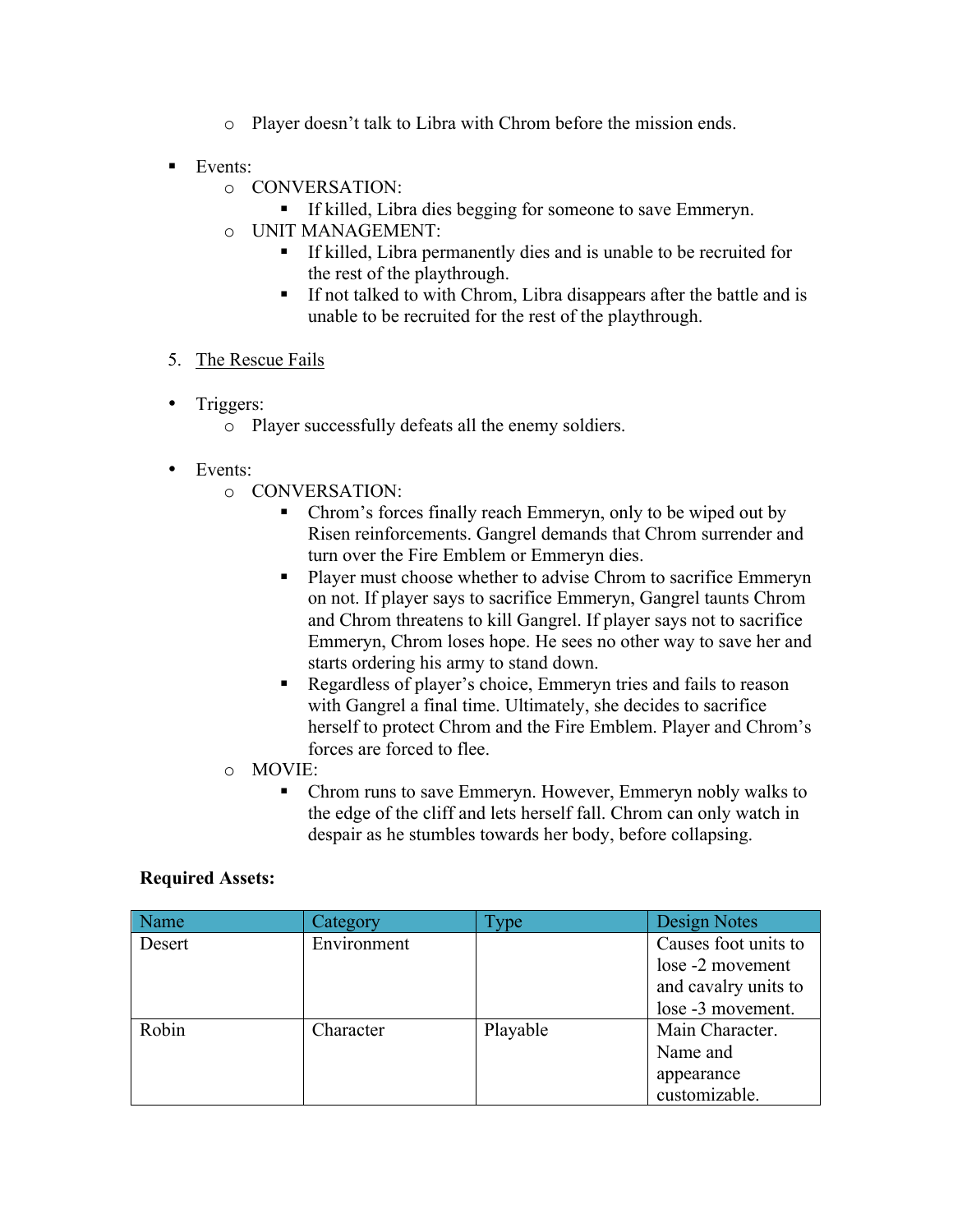- o Player doesn't talk to Libra with Chrom before the mission ends.
- Events:
	- o CONVERSATION:
		- If killed, Libra dies begging for someone to save Emmeryn.
	- o UNIT MANAGEMENT:
		- § If killed, Libra permanently dies and is unable to be recruited for the rest of the playthrough.
		- § If not talked to with Chrom, Libra disappears after the battle and is unable to be recruited for the rest of the playthrough.
- 5. The Rescue Fails
- Triggers:
	- o Player successfully defeats all the enemy soldiers.
- Events:
	- o CONVERSATION:
		- Chrom's forces finally reach Emmeryn, only to be wiped out by Risen reinforcements. Gangrel demands that Chrom surrender and turn over the Fire Emblem or Emmeryn dies.
		- Player must choose whether to advise Chrom to sacrifice Emmeryn on not. If player says to sacrifice Emmeryn, Gangrel taunts Chrom and Chrom threatens to kill Gangrel. If player says not to sacrifice Emmeryn, Chrom loses hope. He sees no other way to save her and starts ordering his army to stand down.
		- § Regardless of player's choice, Emmeryn tries and fails to reason with Gangrel a final time. Ultimately, she decides to sacrifice herself to protect Chrom and the Fire Emblem. Player and Chrom's forces are forced to flee.
	- o MOVIE:
		- Chrom runs to save Emmeryn. However, Emmeryn nobly walks to the edge of the cliff and lets herself fall. Chrom can only watch in despair as he stumbles towards her body, before collapsing.

### **Required Assets:**

| Name   | Category    | Type.    | Design Notes         |
|--------|-------------|----------|----------------------|
| Desert | Environment |          | Causes foot units to |
|        |             |          | lose -2 movement     |
|        |             |          | and cavalry units to |
|        |             |          | lose -3 movement.    |
| Robin  | Character   | Playable | Main Character.      |
|        |             |          | Name and             |
|        |             |          | appearance           |
|        |             |          | customizable.        |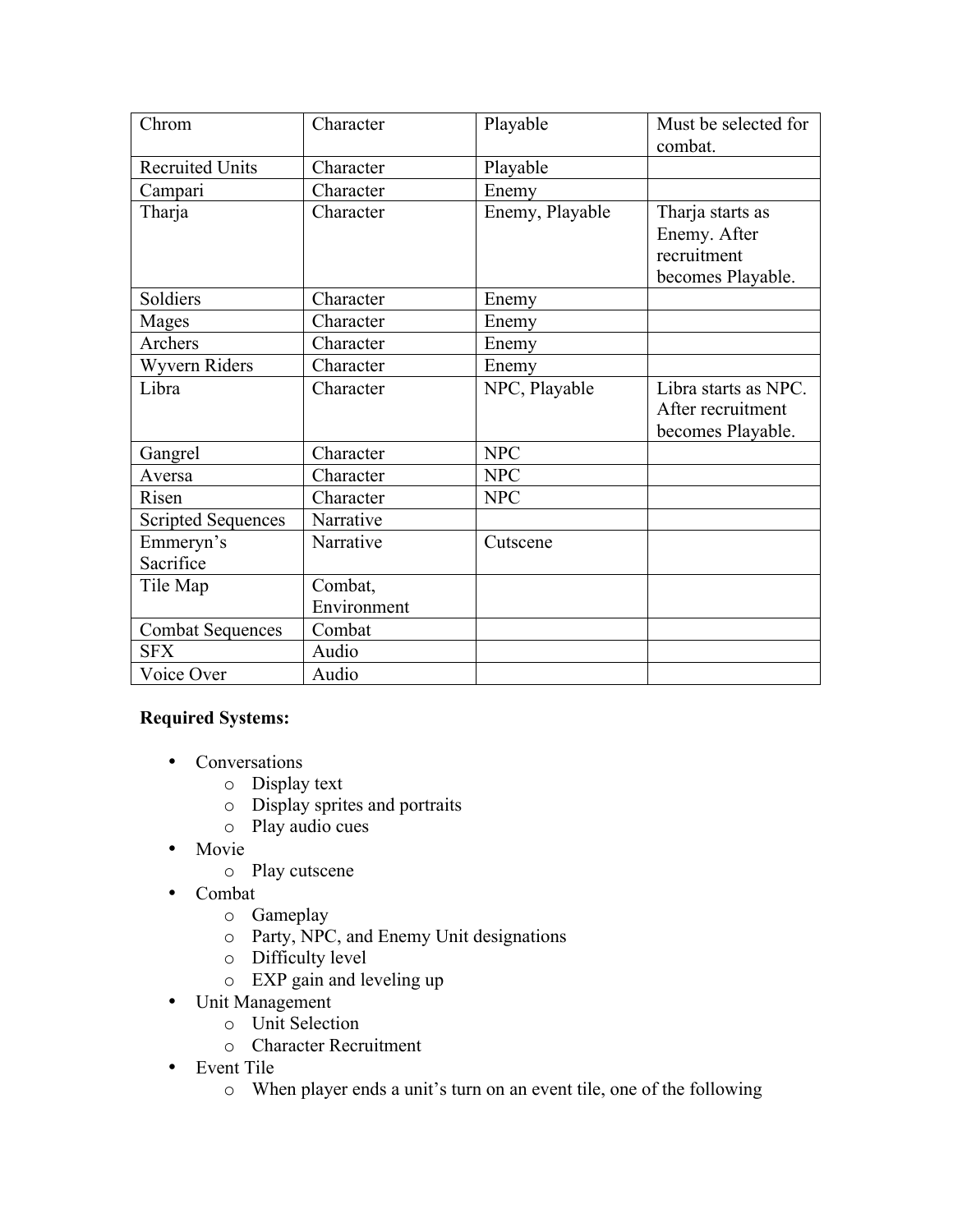| Chrom                     | Character   | Playable        | Must be selected for<br>combat. |
|---------------------------|-------------|-----------------|---------------------------------|
| <b>Recruited Units</b>    | Character   | Playable        |                                 |
| Campari                   | Character   | Enemy           |                                 |
| Tharja                    | Character   | Enemy, Playable | Tharja starts as                |
|                           |             |                 | Enemy. After                    |
|                           |             |                 | recruitment                     |
|                           |             |                 | becomes Playable.               |
| Soldiers                  | Character   | Enemy           |                                 |
| Mages                     | Character   | Enemy           |                                 |
| Archers                   | Character   | Enemy           |                                 |
| Wyvern Riders             | Character   | Enemy           |                                 |
| Libra                     | Character   | NPC, Playable   | Libra starts as NPC.            |
|                           |             |                 | After recruitment               |
|                           |             |                 | becomes Playable.               |
| Gangrel                   | Character   | <b>NPC</b>      |                                 |
| Aversa                    | Character   | <b>NPC</b>      |                                 |
| Risen                     | Character   | <b>NPC</b>      |                                 |
| <b>Scripted Sequences</b> | Narrative   |                 |                                 |
| Emmeryn's                 | Narrative   | Cutscene        |                                 |
| Sacrifice                 |             |                 |                                 |
| Tile Map                  | Combat,     |                 |                                 |
|                           | Environment |                 |                                 |
| <b>Combat Sequences</b>   | Combat      |                 |                                 |
| <b>SFX</b>                | Audio       |                 |                                 |
| Voice Over                | Audio       |                 |                                 |

# **Required Systems:**

- Conversations
	- o Display text
	- o Display sprites and portraits
	- o Play audio cues
- Movie
	- o Play cutscene
- Combat
	- o Gameplay
	- o Party, NPC, and Enemy Unit designations
	- o Difficulty level
	- o EXP gain and leveling up
- Unit Management
	- o Unit Selection
	- o Character Recruitment
- Event Tile
	- o When player ends a unit's turn on an event tile, one of the following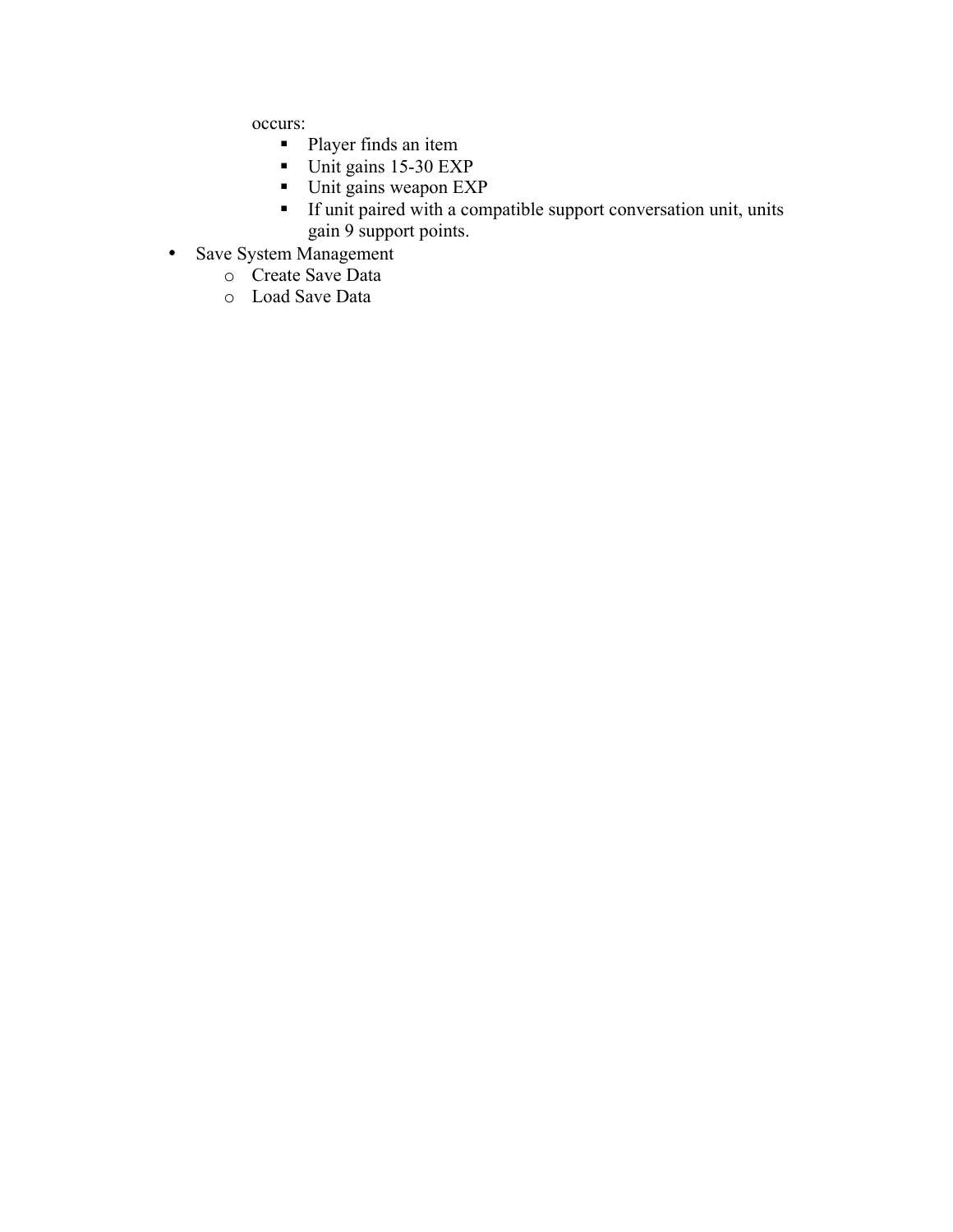occurs:

- Player finds an item
- Unit gains 15-30 EXP
- Unit gains weapon EXP
- § If unit paired with a compatible support conversation unit, units gain 9 support points.
- Save System Management
	- o Create Save Data
		- o Load Save Data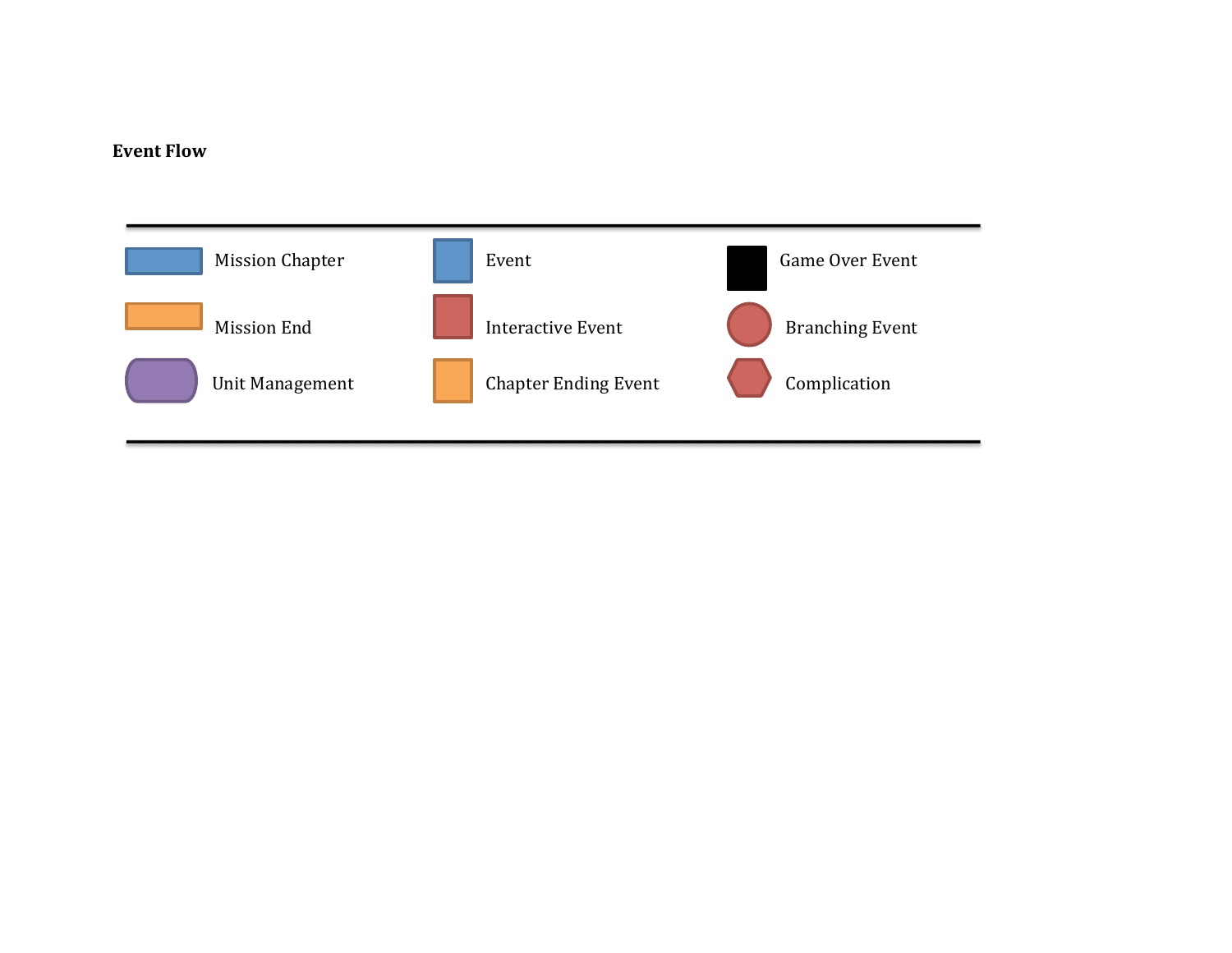# **Event Flow**

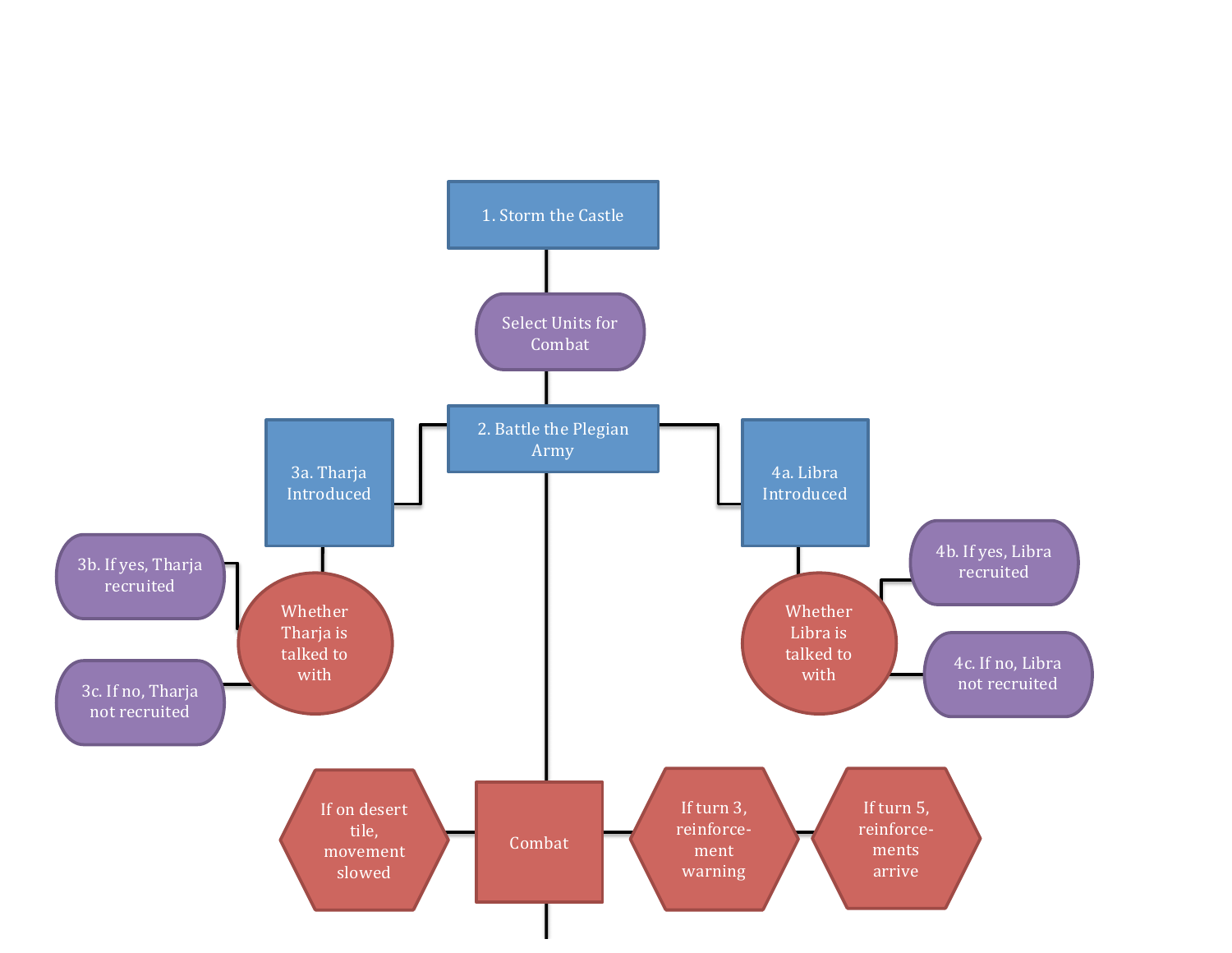